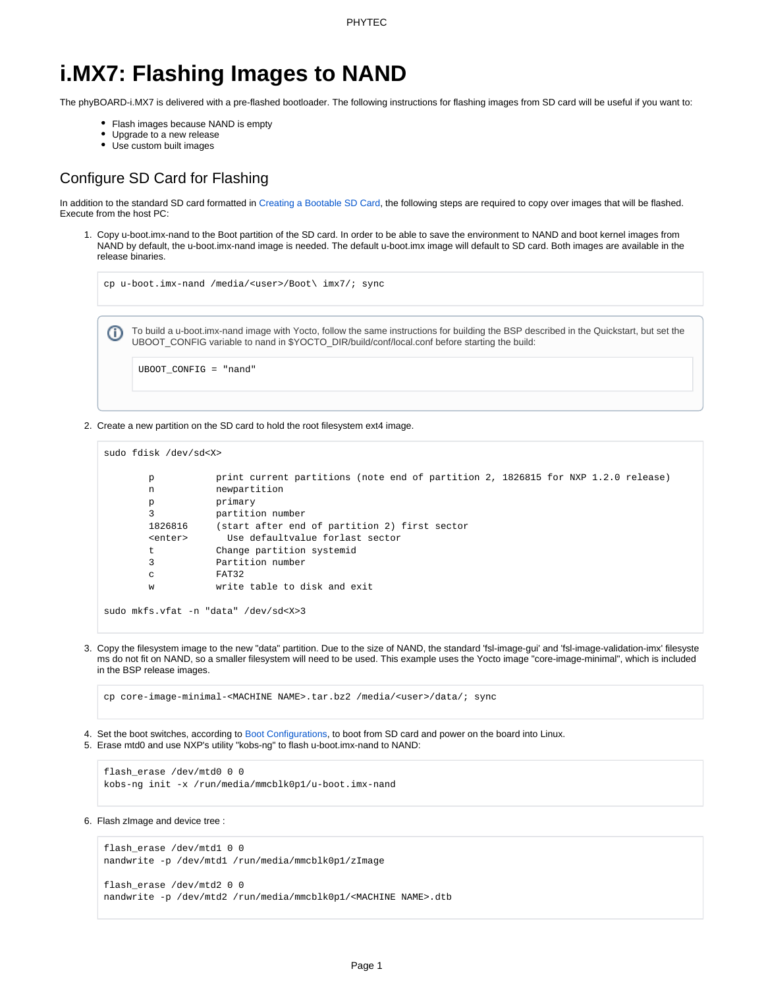PHYTEC

## **i.MX7: Flashing Images to NAND**

The phyBOARD-i.MX7 is delivered with a pre-flashed bootloader. The following instructions for flashing images from SD card will be useful if you want to:

- Flash images because NAND is empty
- Upgrade to a new release
- Use custom built images

## Configure SD Card for Flashing

In addition to the standard SD card formatted in [Creating a Bootable SD Card,](https://wiki.phytec.com/display/PRODUCTINFO/i.MX7%3A+Creating+a+Bootable+SD+Card) the following steps are required to copy over images that will be flashed. Execute from the host PC:

1. Copy u-boot.imx-nand to the Boot partition of the SD card. In order to be able to save the environment to NAND and boot kernel images from NAND by default, the u-boot.imx-nand image is needed. The default u-boot.imx image will default to SD card. Both images are available in the release binaries.

```
cp u-boot.imx-nand /media/<user>/Boot\ imx7/; sync
      To build a u-boot.imx-nand image with Yocto, follow the same instructions for building the BSP described in the Quickstart, but set the 
(i)
      UBOOT_CONFIG variable to nand in $YOCTO_DIR/build/conf/local.conf before starting the build:
       UBOOT_CONFIG = "nand"
```
2. Create a new partition on the SD card to hold the root filesystem ext4 image.

```
sudo fdisk /dev/sd<X>
       p print current partitions (note end of partition 2, 1826815 for NXP 1.2.0 release)
       n newpartition
       p primary
       3 partition number
       1826816 (start after end of partition 2) first sector
       <enter> Use defaultvalue forlast sector
       t Change partition systemid
       3 Partition number
       c FAT32
       w write table to disk and exit
sudo mkfs.vfat -n "data" /dev/sd<X>3
```
3. Copy the filesystem image to the new "data" partition. Due to the size of NAND, the standard 'fsl-image-gui' and 'fsl-image-validation-imx' filesyste ms do not fit on NAND, so a smaller filesystem will need to be used. This example uses the Yocto image "core-image-minimal", which is included in the BSP release images.

cp core-image-minimal-<MACHINE NAME>.tar.bz2 /media/<user>/data/; sync

- 4. Set the boot switches, according to [Boot Configurations](https://wiki.phytec.com/display/PRODUCTINFO/i.MX7%3A+Boot+Configurations), to boot from SD card and power on the board into Linux.
- 5. Erase mtd0 and use NXP's utility "kobs-ng" to flash u-boot.imx-nand to NAND:

```
flash_erase /dev/mtd0 0 0
kobs-ng init -x /run/media/mmcblk0p1/u-boot.imx-nand
```
6. Flash zImage and device tree :

```
flash_erase /dev/mtd1 0 0
nandwrite -p /dev/mtd1 /run/media/mmcblk0p1/zImage
```

```
flash_erase /dev/mtd2 0 0
nandwrite -p /dev/mtd2 /run/media/mmcblk0p1/<MACHINE NAME>.dtb
```